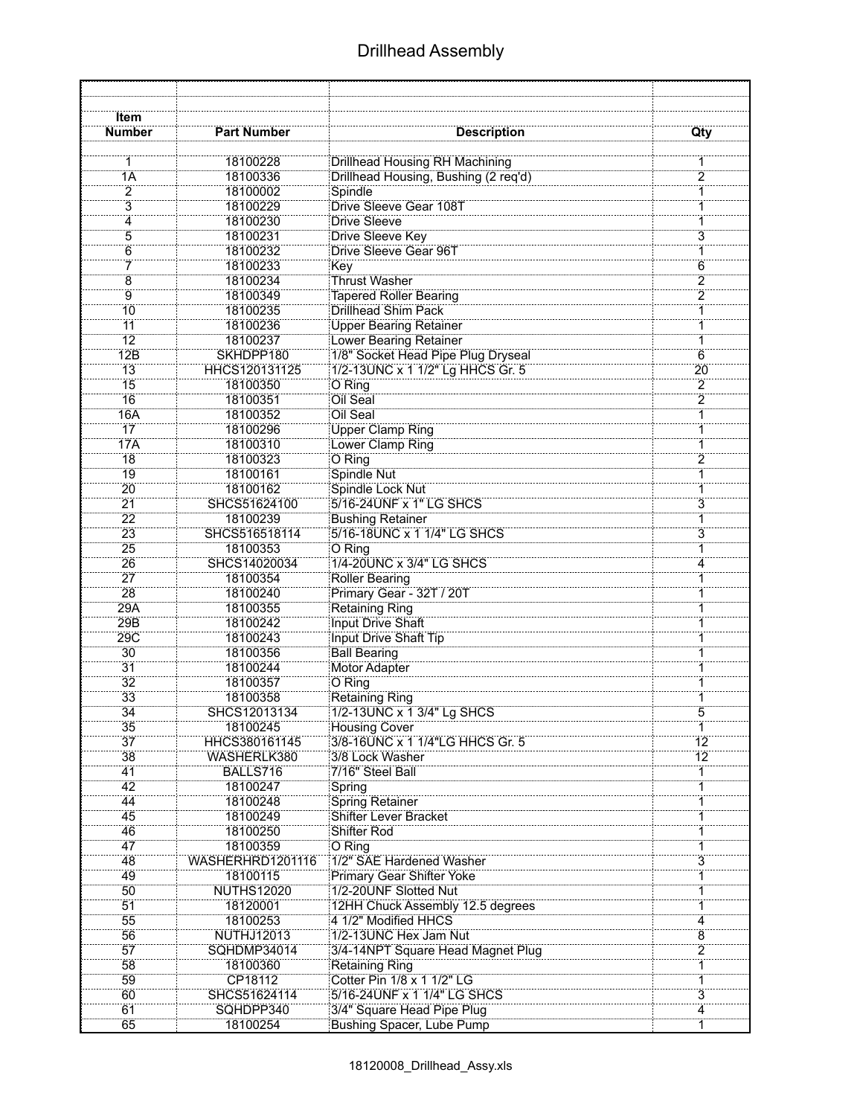## Drillhead Assembly

| Item                  |                              |                                            |                     |
|-----------------------|------------------------------|--------------------------------------------|---------------------|
| <b>Number</b>         | <b>Part Number</b>           | <b>Description</b>                         | Qty                 |
|                       | 18100228                     | Drillhead Housing RH Machining             |                     |
| 1A                    | 18100336                     | Drillhead Housing, Bushing (2 req'd)       | $\overline{2}$      |
| 2                     | 18100002                     | Spindle                                    | 1                   |
| $\overline{3}$        | 18100229                     | <b>Drive Sleeve Gear 108T</b>              |                     |
| 4                     | 18100230                     | Drive Sleeve                               | 1                   |
| $\overline{5}$        | 18100231                     | Drive Sleeve Key                           | $\overline{3}$      |
| 6                     | 18100232                     | <b>Drive Sleeve Gear 96T</b>               |                     |
| 7                     | 18100233                     | Key                                        | 6                   |
| 8                     | 18100234                     | <b>Thrust Washer</b>                       |                     |
| Ïğ                    | 18100349                     | <b>Tapered Roller Bearing</b>              | $\frac{2}{2}$       |
| 10                    | 18100235                     | Drillhead Shim Pack                        |                     |
| 11                    | 18100236                     | <b>Upper Bearing Retainer</b>              |                     |
| $\overline{12}$       | 18100237                     | Lower Bearing Retainer                     |                     |
| 12B                   | SKHDPP180                    | 1/8" Socket Head Pipe Plug Dryseal         | $\overline{6}$      |
| 13                    | HHCS120131125                | 1/2-13UNC x 1 1/2" Lg HHCS Gr. 5           | 20                  |
| 15                    | 18100350                     | O Ring                                     | $\overline{2}$      |
| $\overline{16}$       | 18100351                     | Oil Seal                                   | $\overline{2}$      |
| 16A                   | 18100352                     | Oil Seal                                   | $\mathbf{1}$        |
| 17                    | 18100296                     | <b>Upper Clamp Ring</b>                    | 1                   |
| <b>17A</b>            | 18100310                     | Lower Clamp Ring                           | 1                   |
| 18                    | 18100323                     | O Ring                                     | $\overline{2}$      |
| 19                    | 18100161                     | Spindle Nut                                | 1                   |
| 20                    | 18100162                     | Spindle Lock Nut                           | 1                   |
| 21                    | SHCS51624100                 | 5/16-24UNF x 1" LG SHCS                    | 3                   |
| 22                    | 18100239                     | <b>Bushing Retainer</b>                    | 1<br>$\overline{3}$ |
| $\overline{23}$       | SHCS516518114                | 5/16-18UNC x 1 1/4" LG SHCS                |                     |
| 25                    | 18100353                     | O Ring<br>1/4-20UNC x 3/4" LG SHCS         | 1                   |
| 26<br>$\overline{27}$ | SHCS14020034                 |                                            | 4                   |
| $\overline{28}$       | 18100354<br>18100240         | Roller Bearing<br>Primary Gear - 32T / 20T |                     |
| 29A                   | 18100355                     | <b>Retaining Ring</b>                      |                     |
| 29B                   | 18100242                     | <b>Input Drive Shaft</b>                   |                     |
| 29C                   | 18100243                     | Input Drive Shaft Tip                      | 1                   |
| 30                    | 18100356                     | <b>Ball Bearing</b>                        | 1                   |
| $\overline{31}$       | 18100244                     | <b>Motor Adapter</b>                       | 1                   |
| 32                    | 18100357                     | O Ring                                     |                     |
| 33                    | 18100358                     | Retaining Ring                             |                     |
| $\overline{34}$       | SHCS12013134                 | 1/2-13UNC x 1 3/4" Lg SHCS                 |                     |
| 35                    | 18100245                     | <b>Housing Cover</b>                       |                     |
| 37                    | HHCS380161145                | 3/8-16UNC x 1 1/4"LG HHCS Gr. 5            | $\overline{12}$     |
| 38                    | WASHERLK380                  | 3/8 Lock Washer                            | 12                  |
| 41                    | BALLS716                     | 7/16" Steel Ball                           | 1                   |
| 42                    | 18100247                     | Spring                                     | $\overline{1}$      |
| 44                    | 18100248                     | <b>Spring Retainer</b>                     |                     |
| 45                    | 18100249                     | <b>Shifter Lever Bracket</b>               | 1                   |
| 46                    | 18100250                     | Shifter Rod                                |                     |
| 47                    | 18100359                     | O Ring<br>1/2" SAE Hardened Washer         | 1<br>$\overline{3}$ |
| 48<br>49              | WASHERHRD1201116<br>18100115 | <b>Primary Gear Shifter Yoke</b>           | 1                   |
| 50                    | <b>NUTHS12020</b>            | 1/2-20UNF Slotted Nut                      | 1                   |
| 51                    | 18120001                     | 12HH Chuck Assembly 12.5 degrees           | 1                   |
| 55                    | 18100253                     | 4 1/2" Modified HHCS                       | $\overline{4}$      |
| 56                    | <b>NUTHJ12013</b>            | 1/2-13UNC Hex Jam Nut                      | 8                   |
| 57                    | SQHDMP34014                  | 3/4-14NPT Square Head Magnet Plug          | $\overline{2}$      |
| 58                    | 18100360                     | Retaining Ring                             | 1                   |
| 59                    | CP18112                      | Cotter Pin 1/8 x 1 1/2" LG                 |                     |
| 60                    | SHCS51624114                 | 5/16-24UNF x 1 1/4" LG SHCS                | $\overline{3}$      |
| 61                    | SQHDPP340                    | 3/4" Square Head Pipe Plug                 | 4                   |
| 65                    | 18100254                     | Bushing Spacer, Lube Pump                  | 1                   |